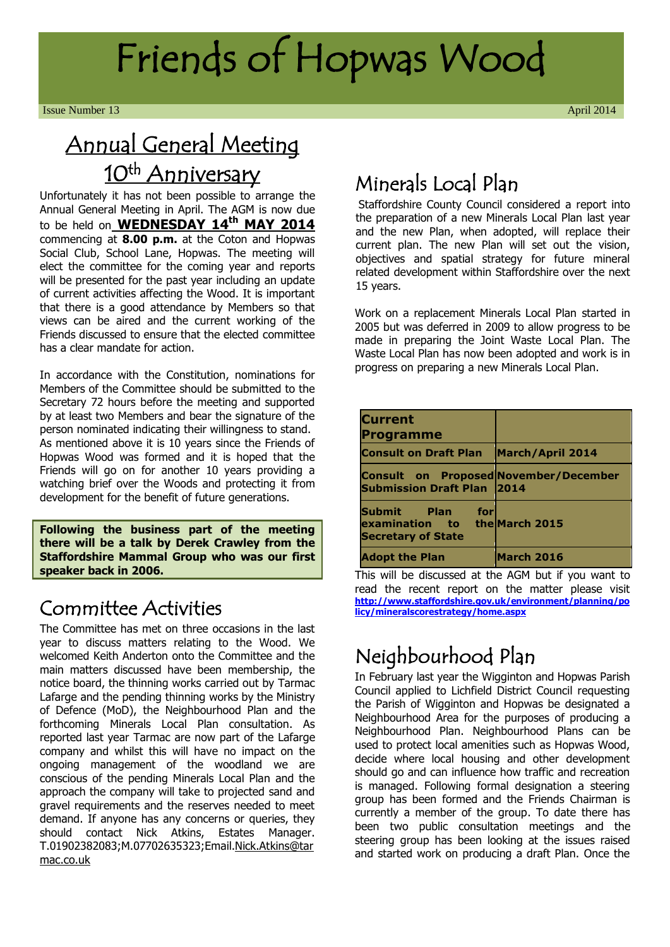# Friends of Hopwas Wood

## Annual General Meeting <u>10<sup>th</sup> Anniversary</u>

Unfortunately it has not been possible to arrange the Annual General Meeting in April. The AGM is now due to be held on **WEDNESDAY 14th MAY 2014** commencing at **8.00 p.m.** at the Coton and Hopwas Social Club, School Lane, Hopwas. The meeting will elect the committee for the coming year and reports will be presented for the past year including an update of current activities affecting the Wood. It is important that there is a good attendance by Members so that views can be aired and the current working of the Friends discussed to ensure that the elected committee has a clear mandate for action.

In accordance with the Constitution, nominations for Members of the Committee should be submitted to the Secretary 72 hours before the meeting and supported by at least two Members and bear the signature of the person nominated indicating their willingness to stand. As mentioned above it is 10 years since the Friends of Hopwas Wood was formed and it is hoped that the Friends will go on for another 10 years providing a watching brief over the Woods and protecting it from development for the benefit of future generations.

**Following the business part of the meeting there will be a talk by Derek Crawley from the Staffordshire Mammal Group who was our first speaker back in 2006.**

#### Committee Activities

The Committee has met on three occasions in the last year to discuss matters relating to the Wood. We welcomed Keith Anderton onto the Committee and the main matters discussed have been membership, the notice board, the thinning works carried out by Tarmac Lafarge and the pending thinning works by the Ministry of Defence (MoD), the Neighbourhood Plan and the forthcoming Minerals Local Plan consultation. As reported last year Tarmac are now part of the Lafarge company and whilst this will have no impact on the ongoing management of the woodland we are conscious of the pending Minerals Local Plan and the approach the company will take to projected sand and gravel requirements and the reserves needed to meet demand. If anyone has any concerns or queries, they should contact Nick Atkins, Estates Manager. T.01902382083;M.07702635323;Email[.Nick.Atkins@tar](mailto:Nick.Atkins@tarmac.co.uk) [mac.co.uk](mailto:Nick.Atkins@tarmac.co.uk)

### Minerals Local Plan

Staffordshire County Council considered a report into the preparation of a new Minerals Local Plan last year and the new Plan, when adopted, will replace their current plan. The new Plan will set out the vision, objectives and spatial strategy for future mineral related development within Staffordshire over the next 15 years.

Work on a replacement Minerals Local Plan started in 2005 but was deferred in 2009 to allow progress to be made in preparing the Joint Waste Local Plan. The Waste Local Plan has now been adopted and work is in progress on preparing a new Minerals Local Plan.

| <b>Current</b><br>Programme                                                         |                  |
|-------------------------------------------------------------------------------------|------------------|
| <b>Consult on Draft Plan</b>                                                        | March/April 2014 |
| <b>Consult on Proposed November/December</b><br>Submission Draft Plan 2014          |                  |
| for<br><b>Submit</b><br><b>Plan</b><br>lexamination to<br><b>Secretary of State</b> | the March 2015   |
| <b>Adopt the Plan</b>                                                               | March 2016       |

This will be discussed at the AGM but if you want to read the recent report on the matter please visit **[http://www.staffordshire.gov.uk/environment/planning/po](http://www.staffordshire.gov.uk/environment/planning/policy/mineralscorestrategy/home.aspx) [licy/mineralscorestrategy/home.aspx](http://www.staffordshire.gov.uk/environment/planning/policy/mineralscorestrategy/home.aspx)**

## Neighbourhood Plan

In February last year the Wigginton and Hopwas Parish Council applied to Lichfield District Council requesting the Parish of Wigginton and Hopwas be designated a Neighbourhood Area for the purposes of producing a Neighbourhood Plan. Neighbourhood Plans can be used to protect local amenities such as Hopwas Wood, decide where local housing and other development should go and can influence how traffic and recreation is managed. Following formal designation a steering group has been formed and the Friends Chairman is currently a member of the group. To date there has been two public consultation meetings and the steering group has been looking at the issues raised and started work on producing a draft Plan. Once the